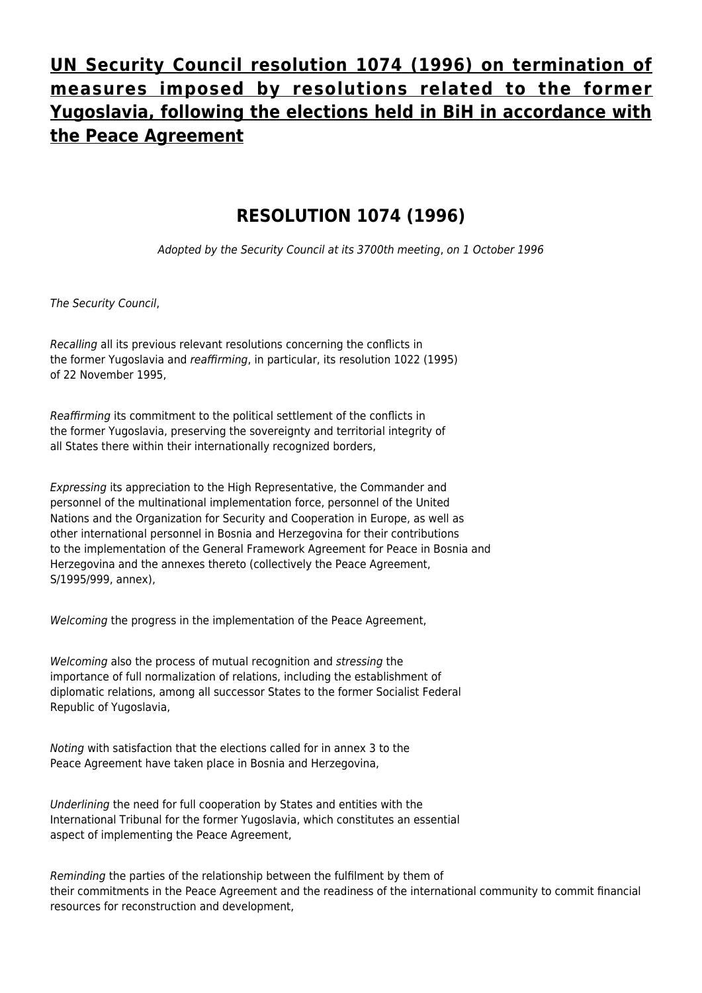## **[UN Security Council resolution 1074 \(1996\) on termination of](http://www.ohr.int/un-security-council-resolution-1074-1996-on-termination-of-measures-imposed-by-resolutions-related-to-the-former-yugoslavia-following-the-elections-held-in-bih-in-accordance-with-the-peace-agreemen-3/) [measures imposed by resolutions related to the former](http://www.ohr.int/un-security-council-resolution-1074-1996-on-termination-of-measures-imposed-by-resolutions-related-to-the-former-yugoslavia-following-the-elections-held-in-bih-in-accordance-with-the-peace-agreemen-3/) [Yugoslavia, following the elections held in BiH in accordance with](http://www.ohr.int/un-security-council-resolution-1074-1996-on-termination-of-measures-imposed-by-resolutions-related-to-the-former-yugoslavia-following-the-elections-held-in-bih-in-accordance-with-the-peace-agreemen-3/) [the Peace Agreement](http://www.ohr.int/un-security-council-resolution-1074-1996-on-termination-of-measures-imposed-by-resolutions-related-to-the-former-yugoslavia-following-the-elections-held-in-bih-in-accordance-with-the-peace-agreemen-3/)**

## **RESOLUTION 1074 (1996)**

Adopted by the Security Council at its 3700th meeting, on 1 October 1996

The Security Council,

Recalling all its previous relevant resolutions concerning the conflicts in the former Yugoslavia and reaffirming, in particular, its resolution 1022 (1995) of 22 November 1995,

Reaffirming its commitment to the political settlement of the conflicts in the former Yugoslavia, preserving the sovereignty and territorial integrity of all States there within their internationally recognized borders,

Expressing its appreciation to the High Representative, the Commander and personnel of the multinational implementation force, personnel of the United Nations and the Organization for Security and Cooperation in Europe, as well as other international personnel in Bosnia and Herzegovina for their contributions to the implementation of the General Framework Agreement for Peace in Bosnia and Herzegovina and the annexes thereto (collectively the Peace Agreement, S/1995/999, annex),

Welcoming the progress in the implementation of the Peace Agreement,

Welcoming also the process of mutual recognition and stressing the importance of full normalization of relations, including the establishment of diplomatic relations, among all successor States to the former Socialist Federal Republic of Yugoslavia,

Noting with satisfaction that the elections called for in annex 3 to the Peace Agreement have taken place in Bosnia and Herzegovina,

Underlining the need for full cooperation by States and entities with the International Tribunal for the former Yugoslavia, which constitutes an essential aspect of implementing the Peace Agreement,

Reminding the parties of the relationship between the fulfilment by them of their commitments in the Peace Agreement and the readiness of the international community to commit financial resources for reconstruction and development,